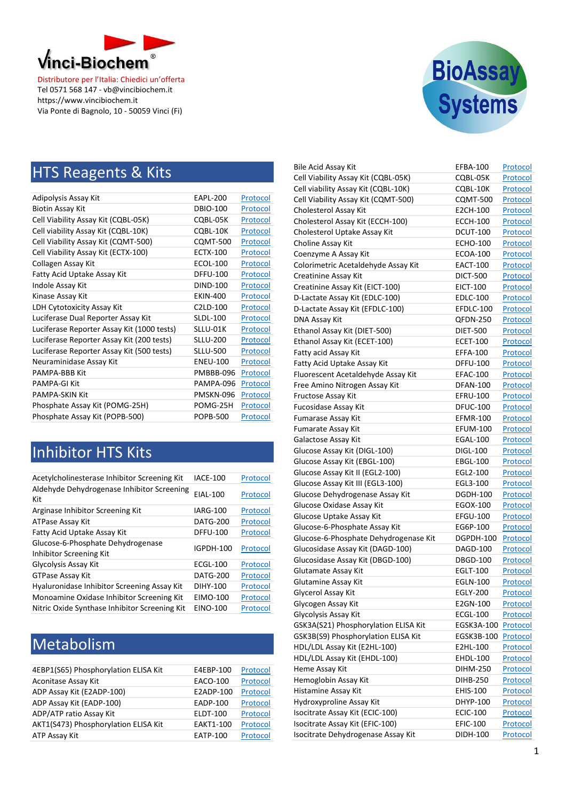



#### **HTS Reagents & Kits**

| Adipolysis Assay Kit                       | <b>EAPL-200</b>       | Protocol |
|--------------------------------------------|-----------------------|----------|
| <b>Biotin Assay Kit</b>                    | <b>DBIO-100</b>       | Protocol |
| Cell Viability Assay Kit (CQBL-05K)        | CQBL-05K              | Protocol |
| Cell viability Assay Kit (CQBL-10K)        | CQBL-10K              | Protocol |
| Cell Viability Assay Kit (CQMT-500)        | <b>CQMT-500</b>       | Protocol |
| Cell Viability Assay Kit (ECTX-100)        | <b>ECTX-100</b>       | Protocol |
| Collagen Assay Kit                         | ECOL-100              | Protocol |
| Fatty Acid Uptake Assay Kit                | <b>DFFU-100</b>       | Protocol |
| Indole Assay Kit                           | <b>DIND-100</b>       | Protocol |
| Kinase Assay Kit                           | <b>EKIN-400</b>       | Protocol |
| <b>LDH Cytotoxicity Assay Kit</b>          | C <sub>2</sub> LD-100 | Protocol |
| Luciferase Dual Reporter Assay Kit         | <b>SLDL-100</b>       | Protocol |
| Luciferase Reporter Assay Kit (1000 tests) | SLLU-01K              | Protocol |
| Luciferase Reporter Assay Kit (200 tests)  | <b>SLLU-200</b>       | Protocol |
| Luciferase Reporter Assay Kit (500 tests)  | <b>SLLU-500</b>       | Protocol |
| Neuraminidase Assay Kit                    | <b>ENEU-100</b>       | Protocol |
| <b>PAMPA-BBB Kit</b>                       | PMBBB-096             | Protocol |
| PAMPA-GI Kit                               | PAMPA-096             | Protocol |
| <b>PAMPA-SKIN Kit</b>                      | PMSKN-096             | Protocol |
| Phosphate Assay Kit (POMG-25H)             | POMG-25H              | Protocol |
| Phosphate Assay Kit (POPB-500)             | <b>POPB-500</b>       | Protocol |

#### Inhibitor HTS Kits

| Acetylcholinesterase Inhibitor Screening Kit                 | <b>IACE-100</b>  | Protocol |
|--------------------------------------------------------------|------------------|----------|
| Aldehyde Dehydrogenase Inhibitor Screening<br>Kit            | EIAL-100         | Protocol |
| Arginase Inhibitor Screening Kit                             | <b>IARG-100</b>  | Protocol |
| ATPase Assay Kit                                             | <b>DATG-200</b>  | Protocol |
| Fatty Acid Uptake Assay Kit                                  | <b>DFFU-100</b>  | Protocol |
| Glucose-6-Phosphate Dehydrogenase<br>Inhibitor Screening Kit | <b>IGPDH-100</b> | Protocol |
| Glycolysis Assay Kit                                         | <b>ECGL-100</b>  | Protocol |
| <b>GTPase Assay Kit</b>                                      | <b>DATG-200</b>  | Protocol |
| Hyaluronidase Inhibitor Screening Assay Kit                  | DIHY-100         | Protocol |
| Monoamine Oxidase Inhibitor Screening Kit                    | EIMO-100         | Protocol |
| Nitric Oxide Synthase Inhibitor Screening Kit                | <b>EINO-100</b>  | Protocol |

### Metabolism

| 4EBP1(S65) Phosphorylation ELISA Kit | E4EBP-100        | Protocol |
|--------------------------------------|------------------|----------|
| Aconitase Assay Kit                  | <b>EACO-100</b>  | Protocol |
| ADP Assay Kit (E2ADP-100)            | E2ADP-100        | Protocol |
| ADP Assay Kit (EADP-100)             | EADP-100         | Protocol |
| ADP/ATP ratio Assay Kit              | <b>ELDT-100</b>  | Protocol |
| AKT1(S473) Phosphorylation ELISA Kit | <b>EAKT1-100</b> | Protocol |
| ATP Assay Kit                        | <b>EATP-100</b>  | Protocol |

| Bile Acid Assay Kit                   | EFBA-100        | Protocol        |
|---------------------------------------|-----------------|-----------------|
| Cell Viability Assay Kit (CQBL-05K)   | COBL-05K        | Protocol        |
| Cell viability Assay Kit (CQBL-10K)   | CQBL-10K        | Protocol        |
| Cell Viability Assay Kit (CQMT-500)   | <b>CQMT-500</b> | Protocol        |
| Cholesterol Assay Kit                 | E2CH-100        | Protocol        |
| Cholesterol Assay Kit (ECCH-100)      | <b>ECCH-100</b> | Protocol        |
| Cholesterol Uptake Assay Kit          | <b>DCUT-100</b> | <u>Protocol</u> |
| Choline Assay Kit                     | <b>ECHO-100</b> | Protocol        |
| Coenzyme A Assay Kit                  | <b>ECOA-100</b> | Protocol        |
| Colorimetric Acetaldehyde Assay Kit   | <b>EACT-100</b> | Protocol        |
| Creatinine Assay Kit                  | DICT-500        | Protocol        |
| Creatinine Assay Kit (EICT-100)       | EICT-100        | Protocol        |
| D-Lactate Assay Kit (EDLC-100)        | <b>EDLC-100</b> | Protocol        |
| D-Lactate Assay Kit (EFDLC-100)       | EFDLC-100       | Protocol        |
| DNA Assay Kit                         | QFDN-250        | Protocol        |
| Ethanol Assay Kit (DIET-500)          | <b>DIET-500</b> | Protocol        |
| Ethanol Assay Kit (ECET-100)          | <b>ECET-100</b> | Protocol        |
| Fatty acid Assay Kit                  | EFFA-100        | <u>Protocol</u> |
| Fatty Acid Uptake Assay Kit           | <b>DFFU-100</b> | Protocol        |
| Fluorescent Acetaldehyde Assay Kit    | EFAC-100        | Protocol        |
| Free Amino Nitrogen Assay Kit         | <b>DFAN-100</b> | Protocol        |
| Fructose Assay Kit                    | EFRU-100        | Protocol        |
| <b>Fucosidase Assay Kit</b>           | <b>DFUC-100</b> | Protocol        |
| <b>Fumarase Assay Kit</b>             | <b>EFMR-100</b> | Protocol        |
| Fumarate Assay Kit                    | <b>EFUM-100</b> | Protocol        |
| Galactose Assay Kit                   | EGAL-100        | Protocol        |
| Glucose Assay Kit (DIGL-100)          | <b>DIGL-100</b> | Protocol        |
| Glucose Assay Kit (EBGL-100)          | <b>EBGL-100</b> | Protocol        |
| Glucose Assay Kit II (EGL2-100)       | EGL2-100        | <u>Protocol</u> |
| Glucose Assay Kit III (EGL3-100)      | EGL3-100        | Protocol        |
| Glucose Dehydrogenase Assay Kit       | DGDH-100        | Protocol        |
| Glucose Oxidase Assay Kit             | EGOX-100        | Protocol        |
| Glucose Uptake Assay Kit              | <b>EFGU-100</b> | Protocol        |
| Glucose-6-Phosphate Assay Kit         | EG6P-100        | Protocol        |
| Glucose-6-Phosphate Dehydrogenase Kit | DGPDH-100       | <u>Protocol</u> |
| Glucosidase Assay Kit (DAGD-100)      | <b>DAGD-100</b> | Protocol        |
| Glucosidase Assay Kit (DBGD-100)      | <b>DBGD-100</b> | Protocol        |
| Glutamate Assay Kit                   | <b>EGLT-100</b> | Protocol        |
| Glutamine Assay Kit                   | EGLN-100        | Protocol        |
| Glycerol Assay Kit                    | EGLY-200        | <u>Protocol</u> |
| Glycogen Assay Kit                    | E2GN-100        | <b>Protocol</b> |
| Glycolysis Assay Kit                  | <b>ECGL-100</b> | <b>Protocol</b> |
| GSK3A(S21) Phosphorylation ELISA Kit  | EGSK3A-100      | Protocol        |
| GSK3B(S9) Phosphorylation ELISA Kit   | EGSK3B-100      | Protocol        |
| HDL/LDL Assay Kit (E2HL-100)          | E2HL-100        | <b>Protocol</b> |
| HDL/LDL Assay Kit (EHDL-100)          | EHDL-100        | Protocol        |
| Heme Assay Kit                        | <b>DIHM-250</b> | Protocol        |
| Hemoglobin Assay Kit                  | DIHB-250        | Protocol        |
| Histamine Assay Kit                   | EHIS-100        | Protocol        |
| Hydroxyproline Assay Kit              | DHYP-100        | <b>Protocol</b> |
| Isocitrate Assay Kit (ECIC-100)       | <b>ECIC-100</b> | <b>Protocol</b> |
| Isocitrate Assay Kit (EFIC-100)       | <b>EFIC-100</b> | Protocol        |
| Isocitrate Dehydrogenase Assay Kit    | DIDH-100        | Protocol        |
|                                       |                 |                 |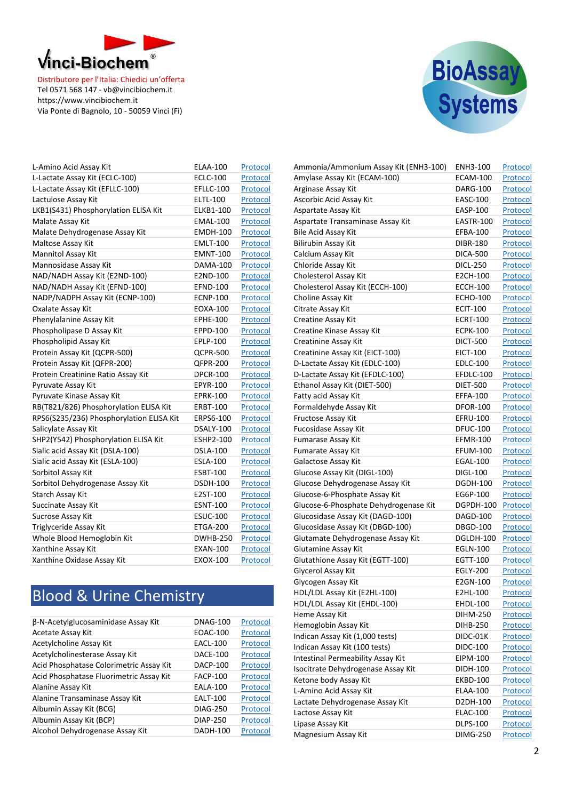



| L-Amino Acid Assay Kit                   | <b>ELAA-100</b> | Protocol |
|------------------------------------------|-----------------|----------|
| L-Lactate Assay Kit (ECLC-100)           | <b>ECLC-100</b> | Protocol |
| L-Lactate Assay Kit (EFLLC-100)          | EFLLC-100       | Protocol |
| Lactulose Assay Kit                      | <b>ELTL-100</b> | Protocol |
| LKB1(S431) Phosphorylation ELISA Kit     | ELKB1-100       | Protocol |
| Malate Assay Kit                         | <b>EMAL-100</b> | Protocol |
| Malate Dehydrogenase Assay Kit           | <b>EMDH-100</b> | Protocol |
| Maltose Assay Kit                        | <b>EMLT-100</b> | Protocol |
| <b>Mannitol Assay Kit</b>                | <b>EMNT-100</b> | Protocol |
| Mannosidase Assay Kit                    | DAMA-100        | Protocol |
| NAD/NADH Assay Kit (E2ND-100)            | E2ND-100        | Protocol |
| NAD/NADH Assay Kit (EFND-100)            | <b>EFND-100</b> | Protocol |
| NADP/NADPH Assay Kit (ECNP-100)          | <b>ECNP-100</b> | Protocol |
| Oxalate Assay Kit                        | EOXA-100        | Protocol |
| Phenylalanine Assay Kit                  | <b>EPHE-100</b> | Protocol |
| Phospholipase D Assay Kit                | EPPD-100        | Protocol |
| Phospholipid Assay Kit                   | EPLP-100        | Protocol |
| Protein Assay Kit (QCPR-500)             | QCPR-500        | Protocol |
| Protein Assay Kit (QFPR-200)             | <b>QFPR-200</b> | Protocol |
| Protein Creatinine Ratio Assay Kit       | <b>DPCR-100</b> | Protocol |
| Pyruvate Assay Kit                       | EPYR-100        | Protocol |
| Pyruvate Kinase Assay Kit                | <b>EPRK-100</b> | Protocol |
| RB(T821/826) Phosphorylation ELISA Kit   | ERBT-100        | Protocol |
| RPS6(S235/236) Phosphorylation ELISA Kit | ERPS6-100       | Protocol |
| Salicylate Assay Kit                     | DSALY-100       | Protocol |
| SHP2(Y542) Phosphorylation ELISA Kit     | ESHP2-100       | Protocol |
| Sialic acid Assay Kit (DSLA-100)         | <b>DSLA-100</b> | Protocol |
| Sialic acid Assay Kit (ESLA-100)         | <b>ESLA-100</b> | Protocol |
| Sorbitol Assay Kit                       | <b>ESBT-100</b> | Protocol |
| Sorbitol Dehydrogenase Assay Kit         | <b>DSDH-100</b> | Protocol |
| Starch Assay Kit                         | E2ST-100        | Protocol |
| Succinate Assay Kit                      | <b>ESNT-100</b> | Protocol |
| <b>Sucrose Assay Kit</b>                 | <b>ESUC-100</b> | Protocol |
| Triglyceride Assay Kit                   | <b>ETGA-200</b> | Protocol |
| Whole Blood Hemoglobin Kit               | <b>DWHB-250</b> | Protocol |
| Xanthine Assay Kit                       | EXAN-100        | Protocol |
| Xanthine Oxidase Assay Kit               | EXOX-100        | Protocol |

### Blood & Urine Chemistry

| β-N-Acetylglucosaminidase Assay Kit     | <b>DNAG-100</b> | Protocol |
|-----------------------------------------|-----------------|----------|
| Acetate Assay Kit                       | <b>EOAC-100</b> | Protocol |
| Acetylcholine Assay Kit                 | <b>EACL-100</b> | Protocol |
| Acetylcholinesterase Assay Kit          | <b>DACE-100</b> | Protocol |
| Acid Phosphatase Colorimetric Assay Kit | <b>DACP-100</b> | Protocol |
| Acid Phosphatase Fluorimetric Assay Kit | <b>FACP-100</b> | Protocol |
| Alanine Assay Kit                       | <b>EALA-100</b> | Protocol |
| Alanine Transaminase Assay Kit          | <b>EALT-100</b> | Protocol |
| Albumin Assay Kit (BCG)                 | <b>DIAG-250</b> | Protocol |
| Albumin Assay Kit (BCP)                 | <b>DIAP-250</b> | Protocol |
| Alcohol Dehydrogenase Assay Kit         | <b>DADH-100</b> | Protocol |

| Ammonia/Ammonium Assay Kit (ENH3-100) | ENH3-100        | Protocol        |
|---------------------------------------|-----------------|-----------------|
| Amylase Assay Kit (ECAM-100)          | <b>ECAM-100</b> | Protocol        |
| Arginase Assay Kit                    | <b>DARG-100</b> | Protocol        |
| Ascorbic Acid Assay Kit               | <b>EASC-100</b> | Protocol        |
| Aspartate Assay Kit                   | <b>EASP-100</b> | <u>Protocol</u> |
| Aspartate Transaminase Assay Kit      | EASTR-100       | Protocol        |
| Bile Acid Assay Kit                   | <b>EFBA-100</b> | <u>Protocol</u> |
| Bilirubin Assay Kit                   | DIBR-180        | Protocol        |
| Calcium Assay Kit                     | <b>DICA-500</b> | Protocol        |
| Chloride Assay Kit                    | DICL-250        | Protocol        |
| Cholesterol Assay Kit                 | E2CH-100        | Protocol        |
| Cholesterol Assay Kit (ECCH-100)      | <b>ECCH-100</b> | <u>Protocol</u> |
| Choline Assay Kit                     | <b>ECHO-100</b> | Protocol        |
| Citrate Assay Kit                     | <b>ECIT-100</b> | Protocol        |
| Creatine Assay Kit                    | <b>ECRT-100</b> | Protocol        |
| Creatine Kinase Assay Kit             | <b>ECPK-100</b> | Protocol        |
| Creatinine Assay Kit                  | <b>DICT-500</b> | Protocol        |
| Creatinine Assay Kit (EICT-100)       | <b>EICT-100</b> | <u>Protocol</u> |
| D-Lactate Assay Kit (EDLC-100)        | <b>EDLC-100</b> | <u>Protocol</u> |
| D-Lactate Assay Kit (EFDLC-100)       | EFDLC-100       | Protocol        |
| Ethanol Assay Kit (DIET-500)          | <b>DIET-500</b> | Protocol        |
| Fatty acid Assay Kit                  | EFFA-100        | Protocol        |
| Formaldehyde Assay Kit                | <b>DFOR-100</b> | Protocol        |
| Fructose Assay Kit                    | <b>EFRU-100</b> | Protocol        |
| Fucosidase Assay Kit                  | <b>DFUC-100</b> | Protocol        |
| <b>Fumarase Assay Kit</b>             | <b>EFMR-100</b> | Protocol        |
| <b>Fumarate Assay Kit</b>             | <b>EFUM-100</b> | Protocol        |
| Galactose Assay Kit                   | <b>EGAL-100</b> |                 |
| Glucose Assay Kit (DIGL-100)          | <b>DIGL-100</b> | Protocol        |
|                                       | <b>DGDH-100</b> | <u>Protocol</u> |
| Glucose Dehydrogenase Assay Kit       |                 | Protocol        |
| Glucose-6-Phosphate Assay Kit         | EG6P-100        | Protocol        |
| Glucose-6-Phosphate Dehydrogenase Kit | DGPDH-100       | Protocol        |
| Glucosidase Assay Kit (DAGD-100)      | <b>DAGD-100</b> | Protocol        |
| Glucosidase Assay Kit (DBGD-100)      | <b>DBGD-100</b> | Protocol        |
| Glutamate Dehydrogenase Assay Kit     | DGLDH-100       | Protocol        |
| Glutamine Assay Kit                   | <b>EGLN-100</b> | Protocol        |
| Glutathione Assay Kit (EGTT-100)      | EGTT-100        | Protocol        |
| Glycerol Assay Kit                    | EGLY-200        | Protocol        |
| Glycogen Assay Kit                    | E2GN-100        | Protocol        |
| HDL/LDL Assay Kit (E2HL-100)          | E2HL-100        | <u>Protocol</u> |
| HDL/LDL Assay Kit (EHDL-100)          | <b>EHDL-100</b> | <b>Protocol</b> |
| Heme Assay Kit                        | <b>DIHM-250</b> | Protocol        |
| Hemoglobin Assay Kit                  | DIHB-250        | Protocol        |
| Indican Assay Kit (1,000 tests)       | DIDC-01K        | Protocol        |
| Indican Assay Kit (100 tests)         | DIDC-100        | Protocol        |
| Intestinal Permeability Assay Kit     | EIPM-100        | Protocol        |
| Isocitrate Dehydrogenase Assay Kit    | DIDH-100        | Protocol        |
| Ketone body Assay Kit                 | <b>EKBD-100</b> | <b>Protocol</b> |
| L-Amino Acid Assay Kit                | ELAA-100        | <b>Protocol</b> |
| Lactate Dehydrogenase Assay Kit       | D2DH-100        | <b>Protocol</b> |
| Lactose Assay Kit                     | ELAC-100        | Protocol        |
| Lipase Assay Kit                      | <b>DLPS-100</b> | <b>Protocol</b> |
| Magnesium Assay Kit                   | <b>DIMG-250</b> | Protocol        |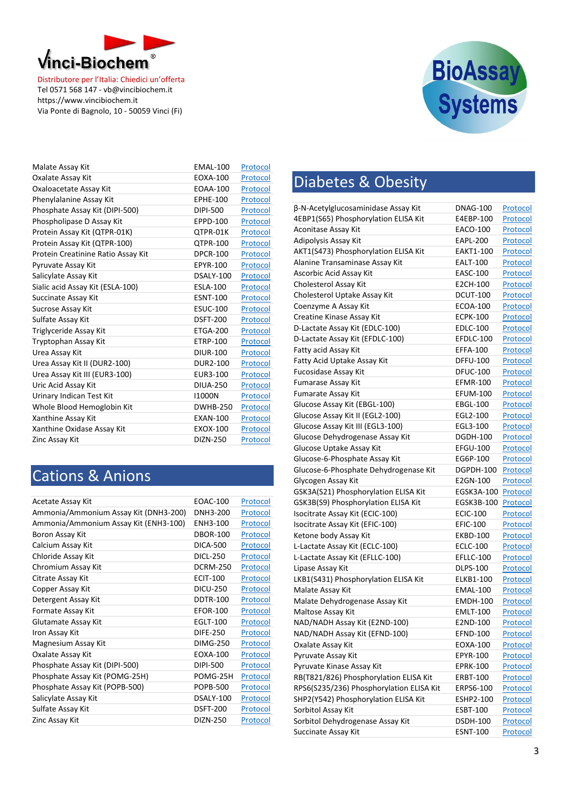



| Malate Assay Kit                   | <b>EMAL-100</b> | Protocol |
|------------------------------------|-----------------|----------|
| Oxalate Assay Kit                  | EOXA-100        | Protocol |
| Oxaloacetate Assay Kit             | <b>EOAA-100</b> | Protocol |
| Phenylalanine Assay Kit            | <b>EPHE-100</b> | Protocol |
| Phosphate Assay Kit (DIPI-500)     | DIPI-500        | Protocol |
| Phospholipase D Assay Kit          | <b>EPPD-100</b> | Protocol |
| Protein Assay Kit (QTPR-01K)       | OTPR-01K        | Protocol |
| Protein Assay Kit (QTPR-100)       | <b>QTPR-100</b> | Protocol |
| Protein Creatinine Ratio Assay Kit | <b>DPCR-100</b> | Protocol |
| Pyruvate Assay Kit                 | EPYR-100        | Protocol |
| Salicylate Assay Kit               | DSALY-100       | Protocol |
| Sialic acid Assay Kit (ESLA-100)   | <b>ESLA-100</b> | Protocol |
| Succinate Assay Kit                | <b>ESNT-100</b> | Protocol |
| Sucrose Assay Kit                  | <b>ESUC-100</b> | Protocol |
| Sulfate Assay Kit                  | <b>DSFT-200</b> | Protocol |
| Triglyceride Assay Kit             | <b>ETGA-200</b> | Protocol |
| Tryptophan Assay Kit               | <b>ETRP-100</b> | Protocol |
| Urea Assay Kit                     | <b>DIUR-100</b> | Protocol |
| Urea Assay Kit II (DUR2-100)       | <b>DUR2-100</b> | Protocol |
| Urea Assay Kit III (EUR3-100)      | EUR3-100        | Protocol |
| Uric Acid Assay Kit                | <b>DIUA-250</b> | Protocol |
| Urinary Indican Test Kit           | 11000N          | Protocol |
| Whole Blood Hemoglobin Kit         | <b>DWHB-250</b> | Protocol |
| Xanthine Assay Kit                 | <b>EXAN-100</b> | Protocol |
| Xanthine Oxidase Assay Kit         | EXOX-100        | Protocol |
| Zinc Assay Kit                     | <b>DIZN-250</b> | Protocol |

#### Cations & Anions

| Acetate Assay Kit                     | EOAC-100        | Protocol |
|---------------------------------------|-----------------|----------|
| Ammonia/Ammonium Assay Kit (DNH3-200) | DNH3-200        | Protocol |
| Ammonia/Ammonium Assay Kit (ENH3-100) | ENH3-100        | Protocol |
| Boron Assay Kit                       | <b>DBOR-100</b> | Protocol |
| Calcium Assay Kit                     | DICA-500        | Protocol |
| Chloride Assay Kit                    | DICL-250        | Protocol |
| Chromium Assay Kit                    | <b>DCRM-250</b> | Protocol |
| Citrate Assay Kit                     | <b>ECIT-100</b> | Protocol |
| Copper Assay Kit                      | <b>DICU-250</b> | Protocol |
| Detergent Assay Kit                   | <b>DDTR-100</b> | Protocol |
| Formate Assay Kit                     | <b>EFOR-100</b> | Protocol |
| Glutamate Assay Kit                   | <b>EGLT-100</b> | Protocol |
| Iron Assay Kit                        | DIFE-250        | Protocol |
| Magnesium Assay Kit                   | <b>DIMG-250</b> | Protocol |
| Oxalate Assay Kit                     | FOXA-100        | Protocol |
| Phosphate Assay Kit (DIPI-500)        | DIPI-500        | Protocol |
| Phosphate Assay Kit (POMG-25H)        | POMG-25H        | Protocol |
| Phosphate Assay Kit (POPB-500)        | <b>POPB-500</b> | Protocol |
| Salicylate Assay Kit                  | DSALY-100       | Protocol |
| Sulfate Assay Kit                     | <b>DSFT-200</b> | Protocol |
| Zinc Assay Kit                        | DIZN-250        | Protocol |
|                                       |                 |          |

## Diabetes & Obesity

| β-N-Acetylglucosaminidase Assay Kit      | DNAG-100        | Protocol        |
|------------------------------------------|-----------------|-----------------|
| 4EBP1(S65) Phosphorylation ELISA Kit     | E4EBP-100       | Protocol        |
| Aconitase Assay Kit                      | EACO-100        | Protocol        |
| Adipolysis Assay Kit                     | EAPL-200        | Protocol        |
| AKT1(S473) Phosphorylation ELISA Kit     | EAKT1-100       | <u>Protocol</u> |
| Alanine Transaminase Assay Kit           | EALT-100        | Protocol        |
| Ascorbic Acid Assay Kit                  | EASC-100        | Protocol        |
| Cholesterol Assay Kit                    | E2CH-100        | Protocol        |
| Cholesterol Uptake Assay Kit             | <b>DCUT-100</b> | Protocol        |
| Coenzyme A Assay Kit                     | <b>ECOA-100</b> | Protocol        |
| Creatine Kinase Assay Kit                | <b>ECPK-100</b> | Protocol        |
| D-Lactate Assay Kit (EDLC-100)           | <b>EDLC-100</b> | Protocol        |
| D-Lactate Assay Kit (EFDLC-100)          | EFDLC-100       | Protocol        |
| Fatty acid Assay Kit                     | <b>EFFA-100</b> | Protocol        |
| Fatty Acid Uptake Assay Kit              | <b>DFFU-100</b> | Protocol        |
| <b>Fucosidase Assay Kit</b>              | <b>DFUC-100</b> | Protocol        |
| Fumarase Assay Kit                       | <b>EFMR-100</b> | Protocol        |
| <b>Fumarate Assay Kit</b>                | <b>EFUM-100</b> | <u>Protocol</u> |
| Glucose Assay Kit (EBGL-100)             | <b>EBGL-100</b> | Protocol        |
| Glucose Assay Kit II (EGL2-100)          | EGL2-100        | Protocol        |
| Glucose Assay Kit III (EGL3-100)         | EGL3-100        | Protocol        |
| Glucose Dehydrogenase Assay Kit          | <b>DGDH-100</b> | Protocol        |
| Glucose Uptake Assay Kit                 | <b>EFGU-100</b> | Protocol        |
| Glucose-6-Phosphate Assay Kit            | EG6P-100        | Protocol        |
| Glucose-6-Phosphate Dehydrogenase Kit    | DGPDH-100       | Protocol        |
| Glycogen Assay Kit                       | E2GN-100        | Protocol        |
| GSK3A(S21) Phosphorylation ELISA Kit     | EGSK3A-100      | Protocol        |
| GSK3B(S9) Phosphorylation ELISA Kit      | EGSK3B-100      | Protocol        |
| Isocitrate Assay Kit (ECIC-100)          | <b>ECIC-100</b> | Protocol        |
| Isocitrate Assay Kit (EFIC-100)          | <b>EFIC-100</b> | Protocol        |
| Ketone body Assay Kit                    | <b>EKBD-100</b> | Protocol        |
| L-Lactate Assay Kit (ECLC-100)           | <b>ECLC-100</b> | Protocol        |
| L-Lactate Assay Kit (EFLLC-100)          | EFLLC-100       | Protocol        |
| Lipase Assay Kit                         | <b>DLPS-100</b> | Protocol        |
| LKB1(S431) Phosphorylation ELISA Kit     | ELKB1-100       | Protocol        |
| Malate Assay Kit                         | <b>EMAL-100</b> | Protocol        |
| Malate Dehydrogenase Assay Kit           | <b>EMDH-100</b> | Protocol        |
| Maltose Assay Kit                        | <b>EMLT-100</b> | Protocol        |
| NAD/NADH Assay Kit (E2ND-100)            | E2ND-100        | Protocol        |
| NAD/NADH Assay Kit (EFND-100)            | <b>EFND-100</b> | <b>Protocol</b> |
| Oxalate Assay Kit                        | EOXA-100        | Protocol        |
| Pyruvate Assay Kit                       | EPYR-100        | <b>Protocol</b> |
| Pyruvate Kinase Assay Kit                | <b>EPRK-100</b> | <b>Protocol</b> |
| RB(T821/826) Phosphorylation ELISA Kit   | ERBT-100        | Protocol        |
| RPS6(S235/236) Phosphorylation ELISA Kit | ERPS6-100       | Protocol        |
| SHP2(Y542) Phosphorylation ELISA Kit     | ESHP2-100       | <b>Protocol</b> |
| Sorbitol Assay Kit                       | ESBT-100        | Protocol        |
| Sorbitol Dehydrogenase Assay Kit         | <b>DSDH-100</b> | Protocol        |
| Succinate Assay Kit                      | <b>ESNT-100</b> | Protocol        |
|                                          |                 |                 |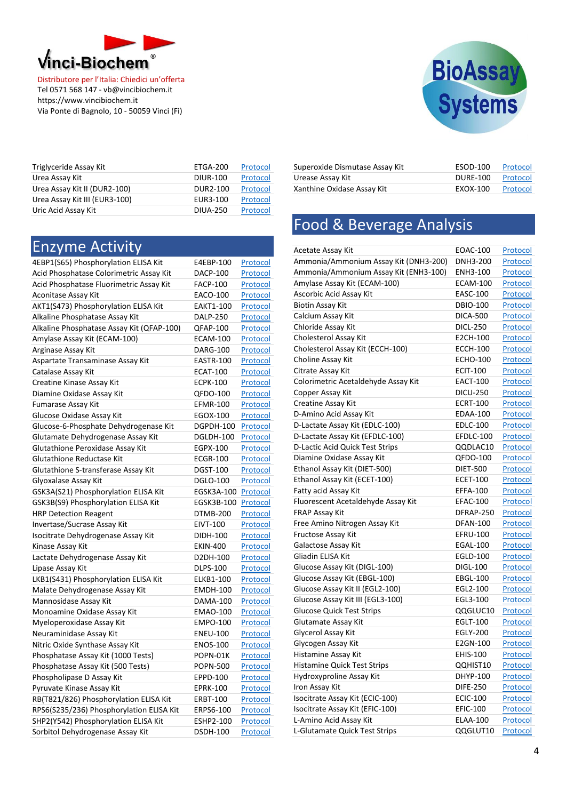



| Triglyceride Assay Kit        | ETGA-200        | Protocol |
|-------------------------------|-----------------|----------|
| Urea Assay Kit                | <b>DIUR-100</b> | Protocol |
| Urea Assay Kit II (DUR2-100)  | <b>DUR2-100</b> | Protocol |
| Urea Assay Kit III (EUR3-100) | EUR3-100        | Protocol |
| Uric Acid Assay Kit           | <b>DIUA-250</b> | Protocol |

| <b>Enzyme Activity</b>                    |                 |                 |
|-------------------------------------------|-----------------|-----------------|
| 4EBP1(S65) Phosphorylation ELISA Kit      | E4EBP-100       | Protocol        |
| Acid Phosphatase Colorimetric Assay Kit   | <b>DACP-100</b> | Protocol        |
| Acid Phosphatase Fluorimetric Assay Kit   | <b>FACP-100</b> | Protocol        |
| Aconitase Assay Kit                       | EACO-100        | Protocol        |
| AKT1(S473) Phosphorylation ELISA Kit      | EAKT1-100       | <b>Protocol</b> |
| Alkaline Phosphatase Assay Kit            | <b>DALP-250</b> | Protocol        |
| Alkaline Phosphatase Assay Kit (QFAP-100) | QFAP-100        | Protocol        |
| Amylase Assay Kit (ECAM-100)              | <b>ECAM-100</b> | Protocol        |
| Arginase Assay Kit                        | <b>DARG-100</b> | Protocol        |
| Aspartate Transaminase Assay Kit          | EASTR-100       | Protocol        |
| Catalase Assay Kit                        | <b>ECAT-100</b> | Protocol        |
| Creatine Kinase Assay Kit                 | <b>ECPK-100</b> | Protocol        |
| Diamine Oxidase Assay Kit                 | QFDO-100        | Protocol        |
| Fumarase Assay Kit                        | <b>EFMR-100</b> | Protocol        |
| Glucose Oxidase Assay Kit                 | <b>EGOX-100</b> | Protocol        |
| Glucose-6-Phosphate Dehydrogenase Kit     | DGPDH-100       | Protocol        |
| Glutamate Dehydrogenase Assay Kit         | DGLDH-100       | Protocol        |
| Glutathione Peroxidase Assay Kit          | EGPX-100        | Protocol        |
| <b>Glutathione Reductase Kit</b>          | <b>ECGR-100</b> | <b>Protocol</b> |
| Glutathione S-transferase Assay Kit       | <b>DGST-100</b> | Protocol        |
| Glyoxalase Assay Kit                      | <b>DGLO-100</b> | Protocol        |
| GSK3A(S21) Phosphorylation ELISA Kit      | EGSK3A-100      | Protocol        |
| GSK3B(S9) Phosphorylation ELISA Kit       | EGSK3B-100      | Protocol        |
| <b>HRP Detection Reagent</b>              | <b>DTMB-200</b> | Protocol        |
| Invertase/Sucrase Assay Kit               | <b>EIVT-100</b> | Protocol        |
| Isocitrate Dehydrogenase Assay Kit        | DIDH-100        | <b>Protocol</b> |
| Kinase Assay Kit                          | <b>EKIN-400</b> | Protocol        |
| Lactate Dehydrogenase Assay Kit           | D2DH-100        | Protocol        |
| Lipase Assay Kit                          | <b>DLPS-100</b> | Protocol        |
| LKB1(S431) Phosphorylation ELISA Kit      | ELKB1-100       | Protocol        |
| Malate Dehydrogenase Assay Kit            | <b>EMDH-100</b> | Protocol        |
| Mannosidase Assay Kit                     | DAMA-100        | Protocol        |
| Monoamine Oxidase Assay Kit               | <b>EMAO-100</b> | Protocol        |
| Myeloperoxidase Assay Kit                 | <b>EMPO-100</b> | Protocol        |
| Neuraminidase Assay Kit                   | <b>ENEU-100</b> | Protocol        |
| Nitric Oxide Synthase Assay Kit           | <b>ENOS-100</b> | Protocol        |
| Phosphatase Assay Kit (1000 Tests)        | POPN-01K        | Protocol        |
| Phosphatase Assay Kit (500 Tests)         | <b>POPN-500</b> | Protocol        |
| Phospholipase D Assay Kit                 | EPPD-100        | Protocol        |
| Pyruvate Kinase Assay Kit                 | <b>EPRK-100</b> | <b>Protocol</b> |
| RB(T821/826) Phosphorylation ELISA Kit    | <b>ERBT-100</b> | Protocol        |
| RPS6(S235/236) Phosphorylation ELISA Kit  | ERPS6-100       | Protocol        |
| SHP2(Y542) Phosphorylation ELISA Kit      | ESHP2-100       | Protocol        |
| Sorbitol Dehydrogenase Assay Kit          | <b>DSDH-100</b> | Protocol        |

| Superoxide Dismutase Assay Kit | ESOD-100        | Protocol |
|--------------------------------|-----------------|----------|
| Urease Assay Kit               | <b>DURE-100</b> | Protocol |
| Xanthine Oxidase Assay Kit     | EXOX-100        | Protocol |

# Food & Beverage Analysis

| Acetate Assay Kit                     | <b>EOAC-100</b> | Protocol |
|---------------------------------------|-----------------|----------|
| Ammonia/Ammonium Assay Kit (DNH3-200) | DNH3-200        | Protocol |
| Ammonia/Ammonium Assay Kit (ENH3-100) | ENH3-100        | Protocol |
| Amylase Assay Kit (ECAM-100)          | <b>ECAM-100</b> | Protocol |
| Ascorbic Acid Assay Kit               | <b>EASC-100</b> | Protocol |
| <b>Biotin Assay Kit</b>               | <b>DBIO-100</b> | Protocol |
| Calcium Assay Kit                     | <b>DICA-500</b> | Protocol |
| Chloride Assay Kit                    | <b>DICL-250</b> | Protocol |
| Cholesterol Assay Kit                 | E2CH-100        | Protocol |
| Cholesterol Assay Kit (ECCH-100)      | <b>ECCH-100</b> | Protocol |
| Choline Assay Kit                     | <b>ECHO-100</b> | Protocol |
| Citrate Assay Kit                     | <b>ECIT-100</b> | Protocol |
| Colorimetric Acetaldehyde Assay Kit   | <b>EACT-100</b> | Protocol |
| Copper Assay Kit                      | <b>DICU-250</b> | Protocol |
| Creatine Assay Kit                    | <b>ECRT-100</b> | Protocol |
| D-Amino Acid Assay Kit                | <b>EDAA-100</b> | Protocol |
| D-Lactate Assay Kit (EDLC-100)        | <b>EDLC-100</b> | Protocol |
| D-Lactate Assay Kit (EFDLC-100)       | EFDLC-100       | Protocol |
| D-Lactic Acid Quick Test Strips       | QQDLAC10        | Protocol |
| Diamine Oxidase Assay Kit             | QFDO-100        | Protocol |
| Ethanol Assay Kit (DIET-500)          | <b>DIET-500</b> | Protocol |
| Ethanol Assay Kit (ECET-100)          | <b>ECET-100</b> | Protocol |
| Fatty acid Assay Kit                  | <b>EFFA-100</b> | Protocol |
| Fluorescent Acetaldehyde Assay Kit    | <b>EFAC-100</b> | Protocol |
| <b>FRAP Assay Kit</b>                 | DFRAP-250       | Protocol |
| Free Amino Nitrogen Assay Kit         | <b>DFAN-100</b> | Protocol |
| Fructose Assay Kit                    | EFRU-100        | Protocol |
| Galactose Assay Kit                   | <b>EGAL-100</b> | Protocol |
| Gliadin ELISA Kit                     | <b>EGLD-100</b> | Protocol |
| Glucose Assay Kit (DIGL-100)          | <b>DIGL-100</b> | Protocol |
| Glucose Assay Kit (EBGL-100)          | <b>EBGL-100</b> | Protocol |
| Glucose Assay Kit II (EGL2-100)       | EGL2-100        | Protocol |
| Glucose Assay Kit III (EGL3-100)      | EGL3-100        | Protocol |
| <b>Glucose Quick Test Strips</b>      | QQGLUC10        | Protocol |
| Glutamate Assay Kit                   | <b>EGLT-100</b> | Protocol |
| Glycerol Assay Kit                    | <b>EGLY-200</b> | Protocol |
| Glycogen Assay Kit                    | E2GN-100        | Protocol |
| Histamine Assay Kit                   | <b>EHIS-100</b> | Protocol |
| Histamine Quick Test Strips           | QQHIST10        | Protocol |
| Hydroxyproline Assay Kit              | DHYP-100        | Protocol |
| Iron Assay Kit                        | <b>DIFE-250</b> | Protocol |
| Isocitrate Assay Kit (ECIC-100)       | <b>ECIC-100</b> | Protocol |
| Isocitrate Assay Kit (EFIC-100)       | EFIC-100        | Protocol |
| L-Amino Acid Assay Kit                | <b>ELAA-100</b> | Protocol |
| L-Glutamate Quick Test Strips         | QQGLUT10        | Protocol |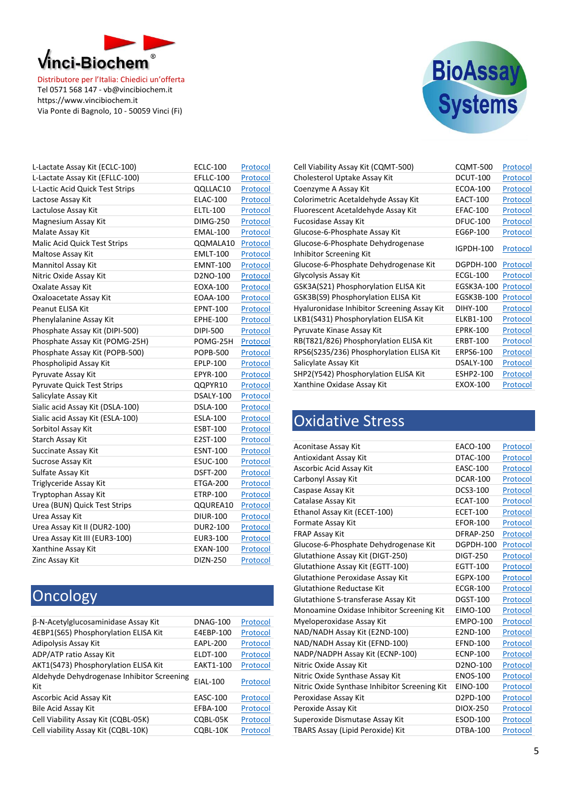



| L-Lactate Assay Kit (ECLC-100)      | <b>ECLC-100</b> | Protocol |
|-------------------------------------|-----------------|----------|
| L-Lactate Assay Kit (EFLLC-100)     | EFLLC-100       | Protocol |
| L-Lactic Acid Quick Test Strips     | QQLLAC10        | Protocol |
| Lactose Assay Kit                   | <b>ELAC-100</b> | Protocol |
| Lactulose Assay Kit                 | <b>ELTL-100</b> | Protocol |
| Magnesium Assay Kit                 | <b>DIMG-250</b> | Protocol |
| Malate Assay Kit                    | <b>EMAL-100</b> | Protocol |
| <b>Malic Acid Quick Test Strips</b> | QQMALA10        | Protocol |
| Maltose Assay Kit                   | <b>EMLT-100</b> | Protocol |
| Mannitol Assay Kit                  | <b>EMNT-100</b> | Protocol |
| Nitric Oxide Assay Kit              | D2NO-100        | Protocol |
| Oxalate Assay Kit                   | EOXA-100        | Protocol |
| Oxaloacetate Assay Kit              | <b>EOAA-100</b> | Protocol |
| Peanut ELISA Kit                    | <b>EPNT-100</b> | Protocol |
| Phenylalanine Assay Kit             | <b>EPHE-100</b> | Protocol |
| Phosphate Assay Kit (DIPI-500)      | DIPI-500        | Protocol |
| Phosphate Assay Kit (POMG-25H)      | POMG-25H        | Protocol |
| Phosphate Assay Kit (POPB-500)      | <b>POPB-500</b> | Protocol |
| Phospholipid Assay Kit              | EPLP-100        | Protocol |
| Pyruvate Assay Kit                  | EPYR-100        | Protocol |
| Pyruvate Quick Test Strips          | QQPYR10         | Protocol |
| Salicylate Assay Kit                | DSALY-100       | Protocol |
| Sialic acid Assay Kit (DSLA-100)    | <b>DSLA-100</b> | Protocol |
| Sialic acid Assay Kit (ESLA-100)    | <b>ESLA-100</b> | Protocol |
| Sorbitol Assay Kit                  | <b>ESBT-100</b> | Protocol |
| Starch Assay Kit                    | E2ST-100        | Protocol |
| Succinate Assay Kit                 | <b>ESNT-100</b> | Protocol |
| <b>Sucrose Assay Kit</b>            | <b>ESUC-100</b> | Protocol |
| Sulfate Assay Kit                   | <b>DSFT-200</b> | Protocol |
| Triglyceride Assay Kit              | ETGA-200        | Protocol |
| Tryptophan Assay Kit                | ETRP-100        | Protocol |
| Urea (BUN) Quick Test Strips        | QQUREA10        | Protocol |
| Urea Assay Kit                      | <b>DIUR-100</b> | Protocol |
| Urea Assay Kit II (DUR2-100)        | DUR2-100        | Protocol |
| Urea Assay Kit III (EUR3-100)       | EUR3-100        | Protocol |
| Xanthine Assay Kit                  | <b>EXAN-100</b> | Protocol |
| Zinc Assay Kit                      | DIZN-250        | Protocol |

# Oncology

| β-N-Acetylglucosaminidase Assay Kit               | <b>DNAG-100</b> | Protocol |
|---------------------------------------------------|-----------------|----------|
| 4EBP1(S65) Phosphorylation ELISA Kit              | E4EBP-100       | Protocol |
| Adipolysis Assay Kit                              | <b>EAPL-200</b> | Protocol |
| ADP/ATP ratio Assay Kit                           | <b>ELDT-100</b> | Protocol |
| AKT1(S473) Phosphorylation ELISA Kit              | EAKT1-100       | Protocol |
| Aldehyde Dehydrogenase Inhibitor Screening<br>Kit | EIAL-100        | Protocol |
| Ascorbic Acid Assay Kit                           | <b>EASC-100</b> | Protocol |
| <b>Bile Acid Assay Kit</b>                        | EFBA-100        | Protocol |
| Cell Viability Assay Kit (CQBL-05K)               | COBL-05K        | Protocol |
| Cell viability Assay Kit (CQBL-10K)               | COBL-10K        | Protocol |

| Cell Viability Assay Kit (CQMT-500)                          | <b>CQMT-500</b>  | Protocol |
|--------------------------------------------------------------|------------------|----------|
| Cholesterol Uptake Assay Kit                                 | <b>DCUT-100</b>  | Protocol |
| Coenzyme A Assay Kit                                         | <b>ECOA-100</b>  | Protocol |
| Colorimetric Acetaldehyde Assay Kit                          | <b>EACT-100</b>  | Protocol |
| Fluorescent Acetaldehyde Assay Kit                           | <b>EFAC-100</b>  | Protocol |
| <b>Fucosidase Assay Kit</b>                                  | <b>DFUC-100</b>  | Protocol |
| Glucose-6-Phosphate Assay Kit                                | EG6P-100         | Protocol |
| Glucose-6-Phosphate Dehydrogenase<br>Inhibitor Screening Kit | <b>IGPDH-100</b> | Protocol |
| Glucose-6-Phosphate Dehydrogenase Kit                        | DGPDH-100        | Protocol |
| Glycolysis Assay Kit                                         | <b>ECGL-100</b>  | Protocol |
| GSK3A(S21) Phosphorylation ELISA Kit                         | EGSK3A-100       | Protocol |
| GSK3B(S9) Phosphorylation ELISA Kit                          | EGSK3B-100       | Protocol |
| Hyaluronidase Inhibitor Screening Assay Kit                  | DIHY-100         | Protocol |
| LKB1(S431) Phosphorylation ELISA Kit                         | ELKB1-100        | Protocol |
| Pyruvate Kinase Assay Kit                                    | <b>EPRK-100</b>  | Protocol |
| RB(T821/826) Phosphorylation ELISA Kit                       | <b>ERBT-100</b>  | Protocol |
| RPS6(S235/236) Phosphorylation ELISA Kit                     | ERPS6-100        | Protocol |
| Salicylate Assay Kit                                         | DSALY-100        | Protocol |
| SHP2(Y542) Phosphorylation ELISA Kit                         | <b>ESHP2-100</b> | Protocol |
| Xanthine Oxidase Assay Kit                                   | EXOX-100         | Protocol |

#### Oxidative Stress

| Aconitase Assay Kit                           | <b>EACO-100</b> | Protocol |
|-----------------------------------------------|-----------------|----------|
| Antioxidant Assay Kit                         | DTAC-100        | Protocol |
| Ascorbic Acid Assay Kit                       | <b>EASC-100</b> | Protocol |
| Carbonyl Assay Kit                            | <b>DCAR-100</b> | Protocol |
| Caspase Assay Kit                             | DCS3-100        | Protocol |
| Catalase Assay Kit                            | <b>ECAT-100</b> | Protocol |
| Ethanol Assay Kit (ECET-100)                  | <b>ECET-100</b> | Protocol |
| Formate Assay Kit                             | <b>EFOR-100</b> | Protocol |
| <b>FRAP Assay Kit</b>                         | DFRAP-250       | Protocol |
| Glucose-6-Phosphate Dehydrogenase Kit         | DGPDH-100       | Protocol |
| Glutathione Assay Kit (DIGT-250)              | <b>DIGT-250</b> | Protocol |
| Glutathione Assay Kit (EGTT-100)              | EGTT-100        | Protocol |
| Glutathione Peroxidase Assay Kit              | EGPX-100        | Protocol |
| Glutathione Reductase Kit                     | <b>ECGR-100</b> | Protocol |
| Glutathione S-transferase Assay Kit           | <b>DGST-100</b> | Protocol |
| Monoamine Oxidase Inhibitor Screening Kit     | <b>EIMO-100</b> | Protocol |
| Myeloperoxidase Assay Kit                     | <b>EMPO-100</b> | Protocol |
| NAD/NADH Assay Kit (E2ND-100)                 | E2ND-100        | Protocol |
| NAD/NADH Assay Kit (EFND-100)                 | <b>EFND-100</b> | Protocol |
| NADP/NADPH Assay Kit (ECNP-100)               | <b>ECNP-100</b> | Protocol |
| Nitric Oxide Assay Kit                        | D2NO-100        | Protocol |
| Nitric Oxide Synthase Assay Kit               | <b>ENOS-100</b> | Protocol |
| Nitric Oxide Synthase Inhibitor Screening Kit | EINO-100        | Protocol |
| Peroxidase Assay Kit                          | D2PD-100        | Protocol |
| Peroxide Assay Kit                            | <b>DIOX-250</b> | Protocol |
| Superoxide Dismutase Assay Kit                | <b>ESOD-100</b> | Protocol |
| TBARS Assay (Lipid Peroxide) Kit              | <b>DTBA-100</b> | Protocol |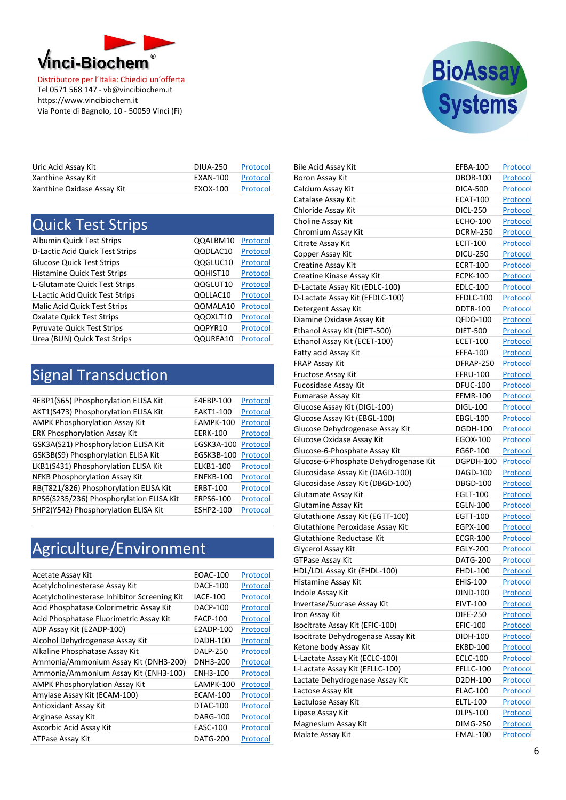

| Uric Acid Assay Kit        | <b>DIUA-250</b> | Protocol |
|----------------------------|-----------------|----------|
| Xanthine Assay Kit         | EXAN-100        | Protocol |
| Xanthine Oxidase Assay Kit | EXOX-100        | Protocol |

| <b>Quick Test Strips</b>         |          |          |
|----------------------------------|----------|----------|
| <b>Albumin Quick Test Strips</b> | QQALBM10 | Protocol |
| D-Lactic Acid Quick Test Strips  | QQDLAC10 | Protocol |
| <b>Glucose Quick Test Strips</b> | QQGLUC10 | Protocol |
| Histamine Quick Test Strips      | QQHIST10 | Protocol |
| L-Glutamate Quick Test Strips    | QQGLUT10 | Protocol |
| L-Lactic Acid Quick Test Strips  | QQLLAC10 | Protocol |
| Malic Acid Quick Test Strips     | QQMALA10 | Protocol |
| <b>Oxalate Quick Test Strips</b> | QQOXLT10 | Protocol |
| Pyruvate Quick Test Strips       | QQPYR10  | Protocol |
| Urea (BUN) Quick Test Strips     | QQUREA10 | Protocol |

# Signal Transduction

| 4EBP1(S65) Phosphorylation ELISA Kit     | E4EBP-100        | Protocol |
|------------------------------------------|------------------|----------|
| AKT1(S473) Phosphorylation ELISA Kit     | <b>EAKT1-100</b> | Protocol |
| <b>AMPK Phosphorylation Assay Kit</b>    | <b>EAMPK-100</b> | Protocol |
| <b>ERK Phosphorylation Assay Kit</b>     | <b>EERK-100</b>  | Protocol |
| GSK3A(S21) Phosphorylation ELISA Kit     | EGSK3A-100       | Protocol |
| GSK3B(S9) Phosphorylation ELISA Kit      | EGSK3B-100       | Protocol |
| LKB1(S431) Phosphorylation ELISA Kit     | ELKB1-100        | Protocol |
| NFKB Phosphorylation Assay Kit           | <b>ENFKB-100</b> | Protocol |
| RB(T821/826) Phosphorylation ELISA Kit   | <b>ERBT-100</b>  | Protocol |
| RPS6(S235/236) Phosphorylation ELISA Kit | ERPS6-100        | Protocol |
| SHP2(Y542) Phosphorylation ELISA Kit     | <b>ESHP2-100</b> | Protocol |
|                                          |                  |          |

# Agriculture/Environment

| <b>Acetate Assay Kit</b>                     | EOAC-100         | Protocol |
|----------------------------------------------|------------------|----------|
| Acetylcholinesterase Assay Kit               | DACE-100         | Protocol |
| Acetylcholinesterase Inhibitor Screening Kit | <b>IACE-100</b>  | Protocol |
| Acid Phosphatase Colorimetric Assay Kit      | DACP-100         | Protocol |
| Acid Phosphatase Fluorimetric Assay Kit      | <b>FACP-100</b>  | Protocol |
| ADP Assay Kit (E2ADP-100)                    | E2ADP-100        | Protocol |
| Alcohol Dehydrogenase Assay Kit              | DADH-100         | Protocol |
| Alkaline Phosphatase Assay Kit               | <b>DALP-250</b>  | Protocol |
| Ammonia/Ammonium Assay Kit (DNH3-200)        | DNH3-200         | Protocol |
| Ammonia/Ammonium Assay Kit (ENH3-100)        | ENH3-100         | Protocol |
| <b>AMPK Phosphorylation Assay Kit</b>        | <b>EAMPK-100</b> | Protocol |
| Amylase Assay Kit (ECAM-100)                 | <b>ECAM-100</b>  | Protocol |
| Antioxidant Assay Kit                        | DTAC-100         | Protocol |
| Arginase Assay Kit                           | <b>DARG-100</b>  | Protocol |
| Ascorbic Acid Assay Kit                      | <b>EASC-100</b>  | Protocol |
| ATPase Assay Kit                             | DATG-200         | Protocol |



| <b>Bile Acid Assay Kit</b>            | EFBA-100        | Protocol        |
|---------------------------------------|-----------------|-----------------|
| Boron Assay Kit                       | <b>DBOR-100</b> | Protocol        |
| Calcium Assay Kit                     | <b>DICA-500</b> | Protocol        |
| Catalase Assay Kit                    | <b>ECAT-100</b> | Protocol        |
| Chloride Assay Kit                    | <b>DICL-250</b> | Protocol        |
| Choline Assay Kit                     | <b>ECHO-100</b> | Protocol        |
| Chromium Assay Kit                    | <b>DCRM-250</b> | Protocol        |
| Citrate Assay Kit                     | <b>ECIT-100</b> | Protocol        |
| Copper Assay Kit                      | <b>DICU-250</b> | Protocol        |
| Creatine Assay Kit                    | <b>ECRT-100</b> | Protocol        |
| Creatine Kinase Assay Kit             | <b>ECPK-100</b> | Protocol        |
| D-Lactate Assay Kit (EDLC-100)        | <b>EDLC-100</b> | Protocol        |
| D-Lactate Assay Kit (EFDLC-100)       | EFDLC-100       | Protocol        |
| Detergent Assay Kit                   | <b>DDTR-100</b> | Protocol        |
| Diamine Oxidase Assay Kit             | QFDO-100        | Protocol        |
| Ethanol Assay Kit (DIET-500)          | <b>DIET-500</b> | Protocol        |
| Ethanol Assay Kit (ECET-100)          | <b>ECET-100</b> | Protocol        |
| Fatty acid Assay Kit                  | <b>EFFA-100</b> | Protocol        |
| FRAP Assay Kit                        | DFRAP-250       | Protocol        |
| Fructose Assay Kit                    | EFRU-100        | Protocol        |
| <b>Fucosidase Assay Kit</b>           | <b>DFUC-100</b> | Protocol        |
| Fumarase Assay Kit                    | <b>EFMR-100</b> | Protocol        |
| Glucose Assay Kit (DIGL-100)          | <b>DIGL-100</b> | Protocol        |
| Glucose Assay Kit (EBGL-100)          | <b>EBGL-100</b> | Protocol        |
| Glucose Dehydrogenase Assay Kit       | DGDH-100        | Protocol        |
| Glucose Oxidase Assay Kit             | EGOX-100        | Protocol        |
| Glucose-6-Phosphate Assay Kit         | EG6P-100        | Protocol        |
| Glucose-6-Phosphate Dehydrogenase Kit | DGPDH-100       | Protocol        |
| Glucosidase Assay Kit (DAGD-100)      | DAGD-100        | <u>Protocol</u> |
| Glucosidase Assay Kit (DBGD-100)      | <b>DBGD-100</b> | Protocol        |
| Glutamate Assay Kit                   | EGLT-100        | Protocol        |
| Glutamine Assay Kit                   | <b>EGLN-100</b> | Protocol        |
| Glutathione Assay Kit (EGTT-100)      | EGTT-100        |                 |
|                                       |                 | Protocol        |
| Glutathione Peroxidase Assay Kit      | EGPX-100        | Protocol        |
| Glutathione Reductase Kit             | <b>ECGR-100</b> | <u>Protocol</u> |
| Glycerol Assay Kit                    | <b>EGLY-200</b> | Protocol        |
| <b>GTPase Assay Kit</b>               | <b>DATG-200</b> | Protocol        |
| HDL/LDL Assay Kit (EHDL-100)          | <b>EHDL-100</b> | Protocol        |
| Histamine Assay Kit                   | <b>EHIS-100</b> | Protocol        |
| Indole Assay Kit                      | DIND-100        | <u>Protocol</u> |
| Invertase/Sucrase Assay Kit           | EIVT-100        | <u>Protocol</u> |
| Iron Assay Kit                        | <b>DIFE-250</b> | Protocol        |
| Isocitrate Assay Kit (EFIC-100)       | <b>EFIC-100</b> | <b>Protocol</b> |
| Isocitrate Dehydrogenase Assay Kit    | DIDH-100        | Protocol        |
| Ketone body Assay Kit                 | <b>EKBD-100</b> | Protocol        |
| L-Lactate Assay Kit (ECLC-100)        | <b>ECLC-100</b> | Protocol        |
| L-Lactate Assay Kit (EFLLC-100)       | EFLLC-100       | Protocol        |
| Lactate Dehydrogenase Assay Kit       | D2DH-100        | Protocol        |
| Lactose Assay Kit                     | <b>ELAC-100</b> | Protocol        |
| Lactulose Assay Kit                   | ELTL-100        | <b>Protocol</b> |
| Lipase Assay Kit                      | <b>DLPS-100</b> | Protocol        |
| Magnesium Assay Kit                   | <b>DIMG-250</b> | Protocol        |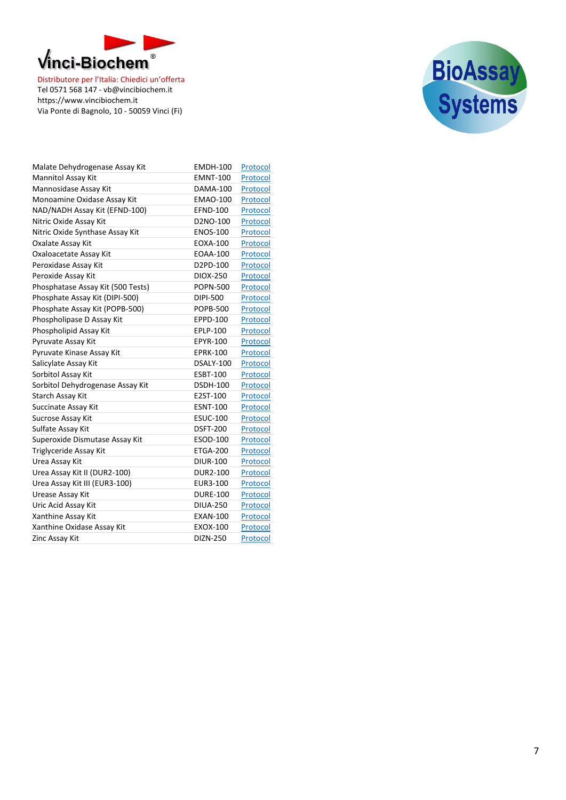



| Malate Dehydrogenase Assay Kit    | <b>EMDH-100</b> | Protocol |
|-----------------------------------|-----------------|----------|
| <b>Mannitol Assay Kit</b>         | <b>EMNT-100</b> | Protocol |
| Mannosidase Assay Kit             | <b>DAMA-100</b> | Protocol |
| Monoamine Oxidase Assay Kit       | <b>EMAO-100</b> | Protocol |
| NAD/NADH Assay Kit (EFND-100)     | <b>EFND-100</b> | Protocol |
| Nitric Oxide Assay Kit            | D2NO-100        | Protocol |
| Nitric Oxide Synthase Assay Kit   | <b>ENOS-100</b> | Protocol |
| Oxalate Assay Kit                 | <b>EOXA-100</b> | Protocol |
| Oxaloacetate Assay Kit            | <b>EOAA-100</b> | Protocol |
| Peroxidase Assay Kit              | D2PD-100        | Protocol |
| Peroxide Assay Kit                | DIOX-250        | Protocol |
| Phosphatase Assay Kit (500 Tests) | <b>POPN-500</b> | Protocol |
| Phosphate Assay Kit (DIPI-500)    | DIPI-500        | Protocol |
| Phosphate Assay Kit (POPB-500)    | <b>POPB-500</b> | Protocol |
| Phospholipase D Assay Kit         | <b>EPPD-100</b> | Protocol |
| Phospholipid Assay Kit            | EPLP-100        | Protocol |
| Pyruvate Assay Kit                | <b>EPYR-100</b> | Protocol |
| Pyruvate Kinase Assay Kit         | <b>EPRK-100</b> | Protocol |
| Salicylate Assay Kit              | DSALY-100       | Protocol |
| Sorbitol Assay Kit                | <b>ESBT-100</b> | Protocol |
| Sorbitol Dehydrogenase Assay Kit  | <b>DSDH-100</b> | Protocol |
| Starch Assay Kit                  | E2ST-100        | Protocol |
| Succinate Assay Kit               | <b>ESNT-100</b> | Protocol |
| Sucrose Assay Kit                 | <b>ESUC-100</b> | Protocol |
| Sulfate Assay Kit                 | <b>DSFT-200</b> | Protocol |
| Superoxide Dismutase Assay Kit    | <b>ESOD-100</b> | Protocol |
| Triglyceride Assay Kit            | <b>ETGA-200</b> | Protocol |
| Urea Assay Kit                    | <b>DIUR-100</b> | Protocol |
| Urea Assay Kit II (DUR2-100)      | <b>DUR2-100</b> | Protocol |
| Urea Assay Kit III (EUR3-100)     | EUR3-100        | Protocol |
| Urease Assay Kit                  | <b>DURE-100</b> | Protocol |
| Uric Acid Assay Kit               | <b>DIUA-250</b> | Protocol |
| Xanthine Assay Kit                | <b>EXAN-100</b> | Protocol |
| Xanthine Oxidase Assay Kit        | <b>EXOX-100</b> | Protocol |
| Zinc Assay Kit                    | DIZN-250        | Protocol |